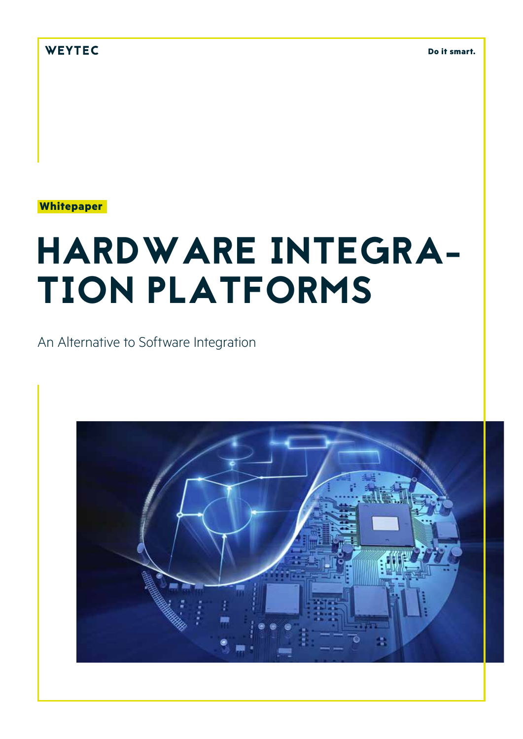WEYTEC

**Do it smart.**

**Whitepaper**

# HARDWARE INTEGRA-TION PLATFORMS

An Alternative to Software Integration

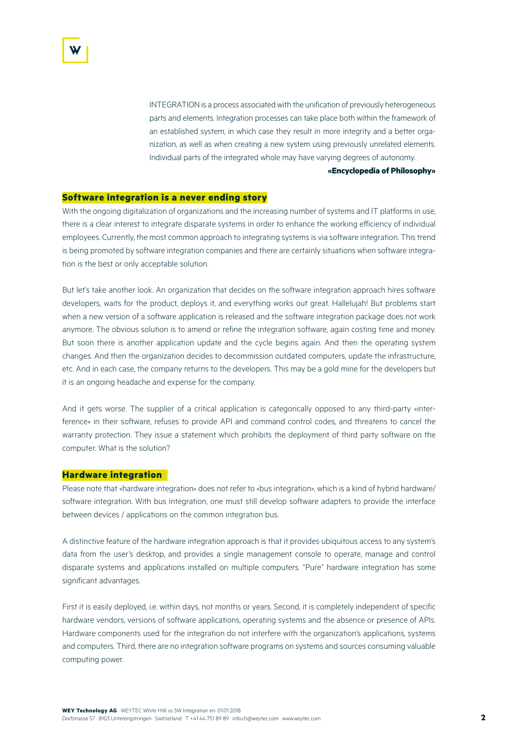INTEGRATION is a process associated with the unification of previously heterogeneous parts and elements. Integration processes can take place both within the framework of an established system, in which case they result in more integrity and a better organization, as well as when creating a new system using previously unrelated elements. Individual parts of the integrated whole may have varying degrees of autonomy.

**«Encyclopedia of Philosophy»**

### **Software integration is a never ending story**

With the ongoing digitalization of organizations and the increasing number of systems and IT platforms in use, there is a clear interest to integrate disparate systems in order to enhance the working efficiency of individual employees. Currently, the most common approach to integrating systems is via software integration. This trend is being promoted by software integration companies and there are certainly situations when software integration is the best or only acceptable solution.

But let's take another look. An organization that decides on the software integration approach hires software developers, waits for the product, deploys it, and everything works out great. Hallelujah! But problems start when a new version of a software application is released and the software integration package does not work anymore. The obvious solution is to amend or refine the integration software, again costing time and money. But soon there is another application update and the cycle begins again. And then the operating system changes. And then the organization decides to decommission outdated computers, update the infrastructure, etc. And in each case, the company returns to the developers. This may be a gold mine for the developers but it is an ongoing headache and expense for the company.

And it gets worse. The supplier of a critical application is categorically opposed to any third-party «interference» in their software, refuses to provide API and command control codes, and threatens to cancel the warranty protection. They issue a statement which prohibits the deployment of third party software on the computer. What is the solution?

#### **Hardware integration**

Please note that «hardware integration» does not refer to «bus integration», which is a kind of hybrid hardware/ software integration. With bus integration, one must still develop software adapters to provide the interface between devices / applications on the common integration bus.

A distinctive feature of the hardware integration approach is that it provides ubiquitous access to any system's data from the user's desktop, and provides a single management console to operate, manage and control disparate systems and applications installed on multiple computers. "Pure" hardware integration has some significant advantages.

First it is easily deployed, i.e. within days, not months or years. Second, it is completely independent of specific hardware vendors, versions of software applications, operating systems and the absence or presence of APIs. Hardware components used for the integration do not interfere with the organization's applications, systems and computers. Third, there are no integration software programs on systems and sources consuming valuable computing power.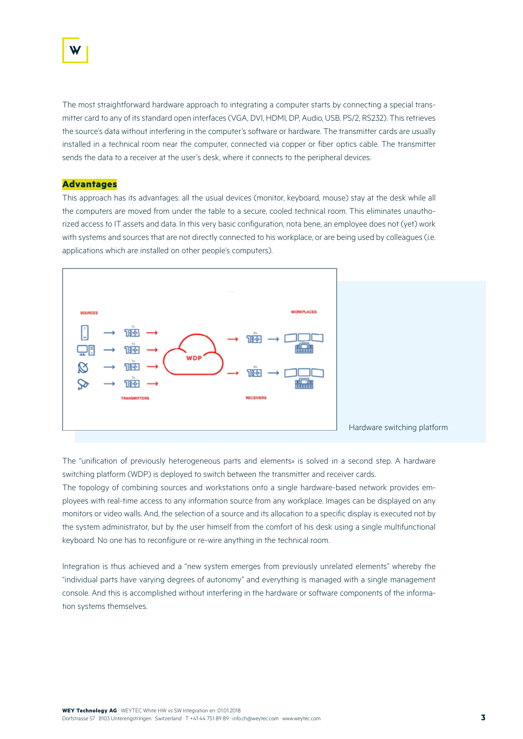

The most straightforward hardware approach to integrating a computer starts by connecting a special transmitter card to any of its standard open interfaces (VGA, DVI, HDMI, DP, Audio, USB. PS/2, RS232). This retrieves the source's data without interfering in the computer's software or hardware. The transmitter cards are usually installed in a technical room near the computer, connected via copper or fiber optics cable. The transmitter sends the data to a receiver at the user's desk, where it connects to the peripheral devices.

#### **Advantages**

This approach has its advantages: all the usual devices (monitor, keyboard, mouse) stay at the desk while all the computers are moved from under the table to a secure, cooled technical room. This eliminates unauthorized access to IT assets and data. In this very basic configuration, nota bene, an employee does not (yet) work with systems and sources that are not directly connected to his workplace, or are being used by colleagues (i.e. applications which are installed on other people's computers).



The "unification of previously heterogeneous parts and elements» is solved in a second step. A hardware switching platform (WDP) is deployed to switch between the transmitter and receiver cards.

The topology of combining sources and workstations onto a single hardware-based network provides employees with real-time access to any information source from any workplace. Images can be displayed on any monitors or video walls. And, the selection of a source and its allocation to a specific display is executed not by the system administrator, but by the user himself from the comfort of his desk using a single multifunctional keyboard. No one has to reconfigure or re-wire anything in the technical room.

Integration is thus achieved and a "new system emerges from previously unrelated elements" whereby the "individual parts have varying degrees of autonomy" and everything is managed with a single management console. And this is accomplished without interfering in the hardware or software components of the information systems themselves.